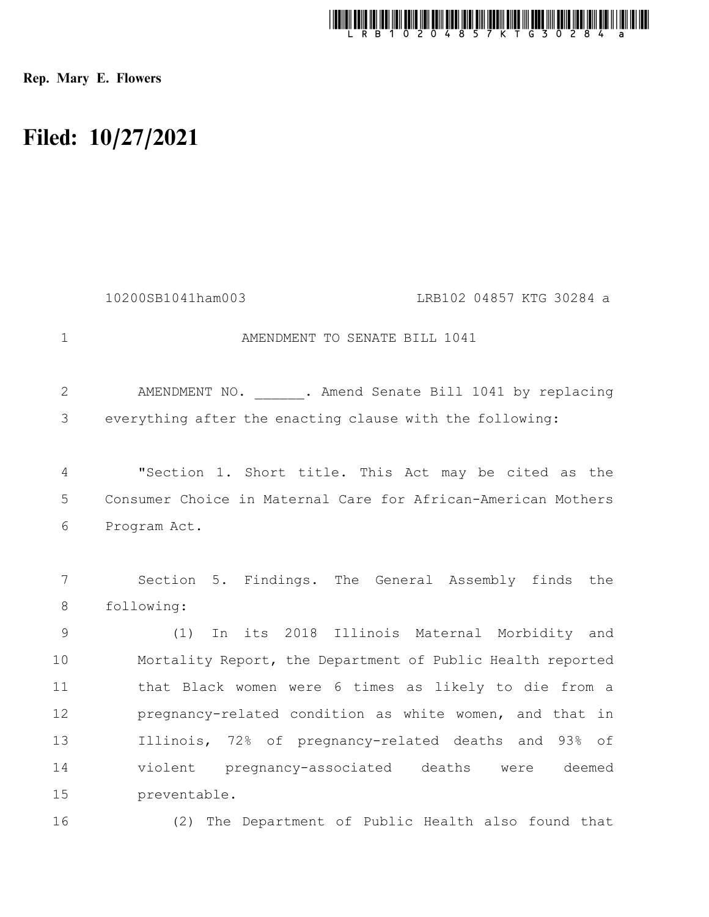

Rep. Mary E. Flowers

## Filed: 10/27/2021

|                | LRB102 04857 KTG 30284 a<br>10200SB1041ham003                     |
|----------------|-------------------------------------------------------------------|
| $\mathbf{1}$   | AMENDMENT TO SENATE BILL 1041                                     |
| $\overline{2}$ | AMENDMENT NO. ______. Amend Senate Bill 1041 by replacing         |
| 3              | everything after the enacting clause with the following:          |
| $\overline{4}$ | "Section 1. Short title. This Act may be cited as the             |
| 5              | Consumer Choice in Maternal Care for African-American Mothers     |
| 6              | Program Act.                                                      |
| 7<br>8         | Section 5. Findings. The General Assembly finds the<br>following: |
| 9              | In its 2018 Illinois Maternal Morbidity and<br>(1)                |
| 10             | Mortality Report, the Department of Public Health reported        |
| 11             | that Black women were 6 times as likely to die from a             |
| 12             | pregnancy-related condition as white women, and that in           |
| 13             | Illinois, 72% of pregnancy-related deaths and 93% of              |
| 14             | violent pregnancy-associated deaths were deemed                   |
| 15             | preventable.                                                      |
| 16             | (2) The Department of Public Health also found that               |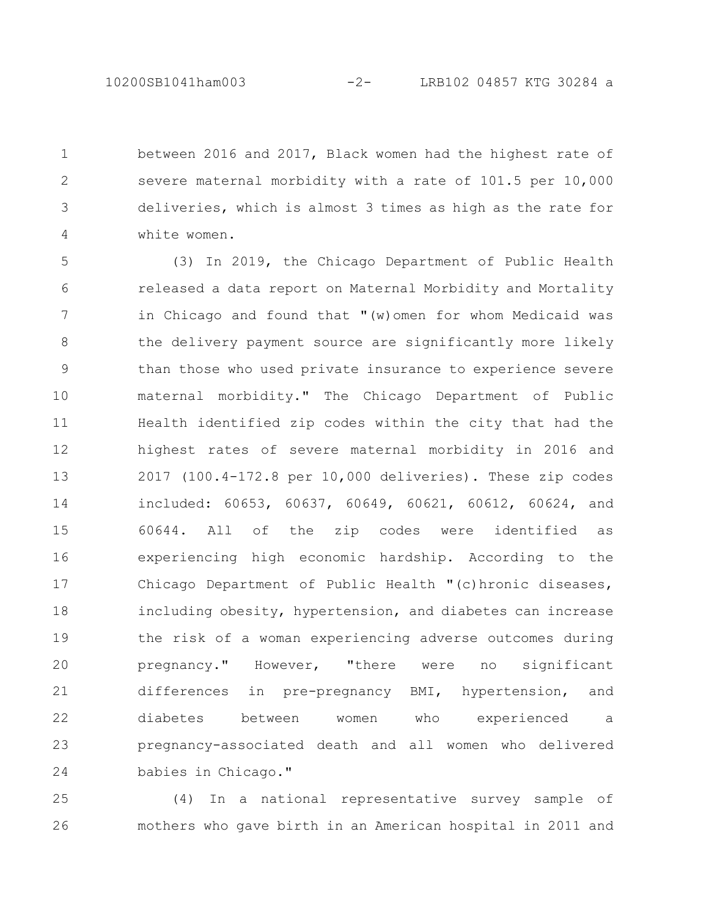between 2016 and 2017, Black women had the highest rate of severe maternal morbidity with a rate of 101.5 per 10,000 deliveries, which is almost 3 times as high as the rate for white women. 1 2 3 4

(3) In 2019, the Chicago Department of Public Health released a data report on Maternal Morbidity and Mortality in Chicago and found that "(w)omen for whom Medicaid was the delivery payment source are significantly more likely than those who used private insurance to experience severe maternal morbidity." The Chicago Department of Public Health identified zip codes within the city that had the highest rates of severe maternal morbidity in 2016 and 2017 (100.4-172.8 per 10,000 deliveries). These zip codes included: 60653, 60637, 60649, 60621, 60612, 60624, and 60644. All of the zip codes were identified as experiencing high economic hardship. According to the Chicago Department of Public Health "(c)hronic diseases, including obesity, hypertension, and diabetes can increase the risk of a woman experiencing adverse outcomes during pregnancy." However, "there were no significant differences in pre-pregnancy BMI, hypertension, and diabetes between women who experienced a pregnancy-associated death and all women who delivered babies in Chicago." 5 6 7 8 9 10 11 12 13 14 15 16 17 18 19 20 21 22 23 24

(4) In a national representative survey sample of mothers who gave birth in an American hospital in 2011 and 25 26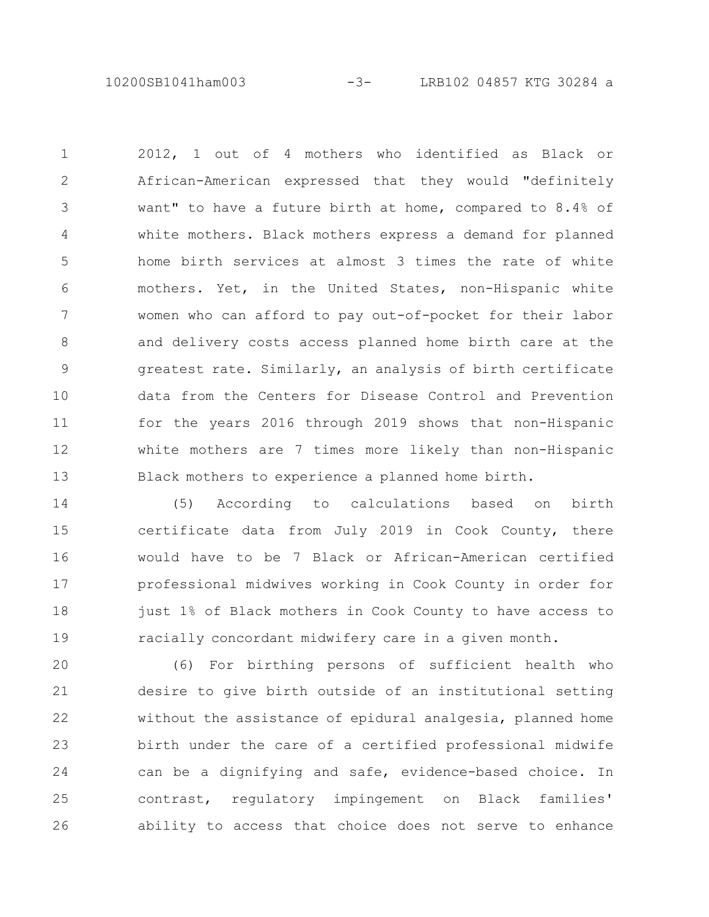10200SB1041ham003 -3- LRB102 04857 KTG 30284 a

2012, 1 out of 4 mothers who identified as Black or African-American expressed that they would "definitely want" to have a future birth at home, compared to 8.4% of white mothers. Black mothers express a demand for planned home birth services at almost 3 times the rate of white mothers. Yet, in the United States, non-Hispanic white women who can afford to pay out-of-pocket for their labor and delivery costs access planned home birth care at the greatest rate. Similarly, an analysis of birth certificate data from the Centers for Disease Control and Prevention for the years 2016 through 2019 shows that non-Hispanic white mothers are 7 times more likely than non-Hispanic Black mothers to experience a planned home birth. 1 2 3 4 5 6 7 8 9 10 11 12 13

(5) According to calculations based on birth certificate data from July 2019 in Cook County, there would have to be 7 Black or African-American certified professional midwives working in Cook County in order for just 1% of Black mothers in Cook County to have access to racially concordant midwifery care in a given month. 14 15 16 17 18 19

(6) For birthing persons of sufficient health who desire to give birth outside of an institutional setting without the assistance of epidural analgesia, planned home birth under the care of a certified professional midwife can be a dignifying and safe, evidence-based choice. In contrast, regulatory impingement on Black families' ability to access that choice does not serve to enhance 20 21 22 23 24 25 26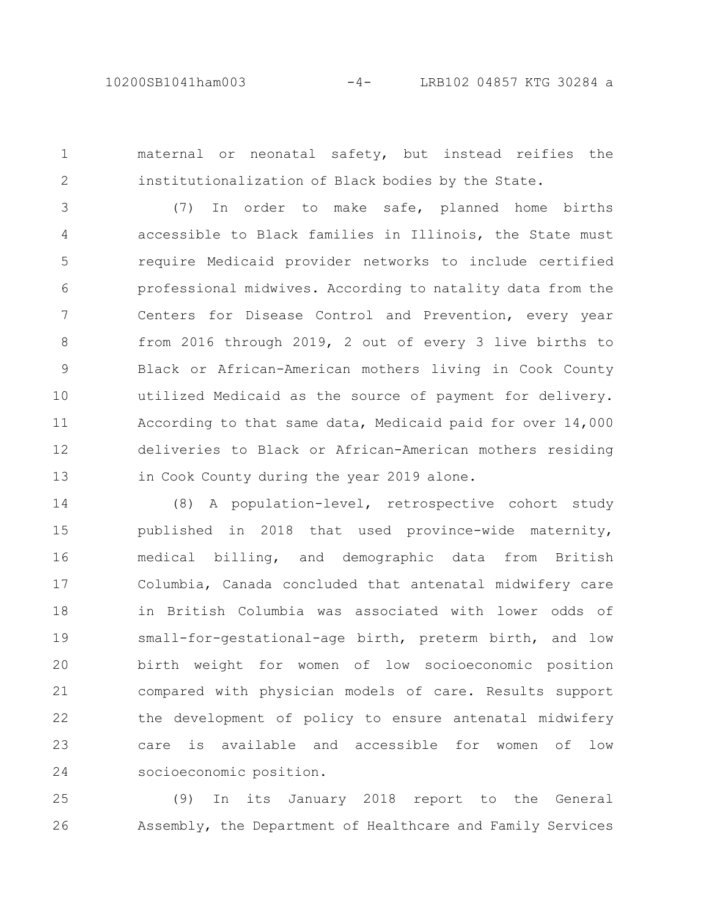1

2

maternal or neonatal safety, but instead reifies the institutionalization of Black bodies by the State.

(7) In order to make safe, planned home births accessible to Black families in Illinois, the State must require Medicaid provider networks to include certified professional midwives. According to natality data from the Centers for Disease Control and Prevention, every year from 2016 through 2019, 2 out of every 3 live births to Black or African-American mothers living in Cook County utilized Medicaid as the source of payment for delivery. According to that same data, Medicaid paid for over 14,000 deliveries to Black or African-American mothers residing in Cook County during the year 2019 alone. 3 4 5 6 7 8 9 10 11 12 13

(8) A population-level, retrospective cohort study published in 2018 that used province-wide maternity, medical billing, and demographic data from British Columbia, Canada concluded that antenatal midwifery care in British Columbia was associated with lower odds of small-for-gestational-age birth, preterm birth, and low birth weight for women of low socioeconomic position compared with physician models of care. Results support the development of policy to ensure antenatal midwifery care is available and accessible for women of low socioeconomic position. 14 15 16 17 18 19 20 21 22 23 24

(9) In its January 2018 report to the General Assembly, the Department of Healthcare and Family Services 25 26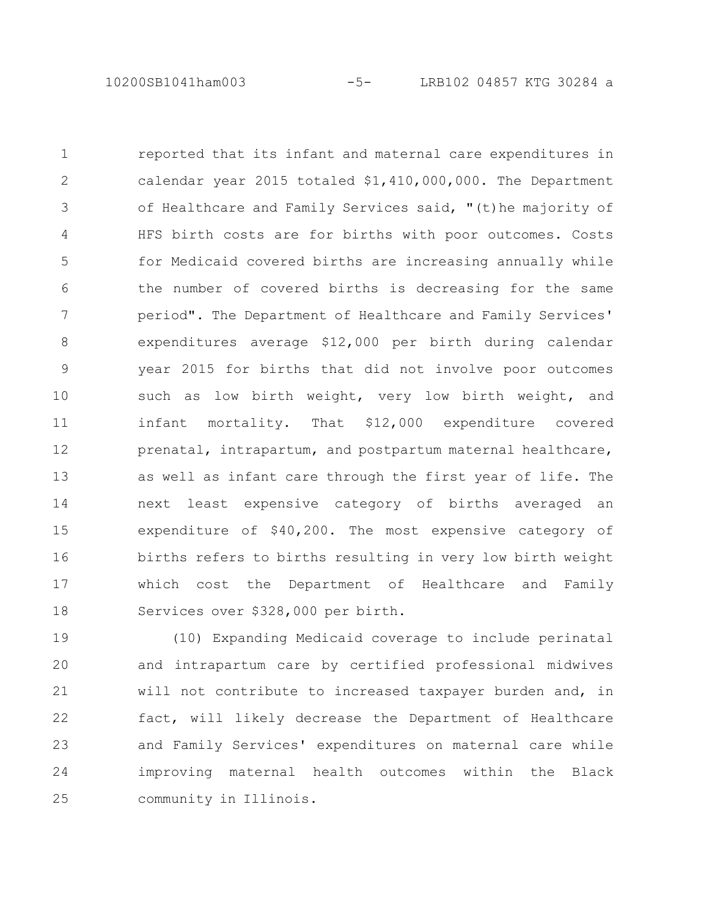10200SB1041ham003 -5- LRB102 04857 KTG 30284 a

reported that its infant and maternal care expenditures in calendar year 2015 totaled \$1,410,000,000. The Department of Healthcare and Family Services said, "(t)he majority of HFS birth costs are for births with poor outcomes. Costs for Medicaid covered births are increasing annually while the number of covered births is decreasing for the same period". The Department of Healthcare and Family Services' expenditures average \$12,000 per birth during calendar year 2015 for births that did not involve poor outcomes such as low birth weight, very low birth weight, and infant mortality. That \$12,000 expenditure covered prenatal, intrapartum, and postpartum maternal healthcare, as well as infant care through the first year of life. The next least expensive category of births averaged an expenditure of \$40,200. The most expensive category of births refers to births resulting in very low birth weight which cost the Department of Healthcare and Family Services over \$328,000 per birth. 1 2 3 4 5 6 7 8 9 10 11 12 13 14 15 16 17 18

(10) Expanding Medicaid coverage to include perinatal and intrapartum care by certified professional midwives will not contribute to increased taxpayer burden and, in fact, will likely decrease the Department of Healthcare and Family Services' expenditures on maternal care while improving maternal health outcomes within the Black community in Illinois. 19 20 21 22 23 24 25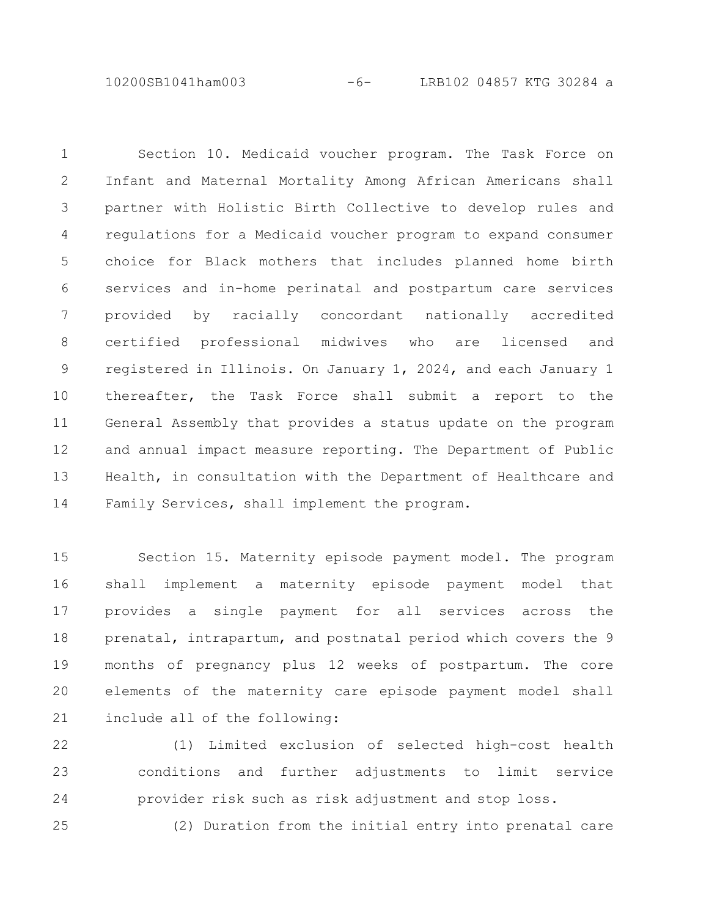10200SB1041ham003 -6- LRB102 04857 KTG 30284 a

Section 10. Medicaid voucher program. The Task Force on Infant and Maternal Mortality Among African Americans shall partner with Holistic Birth Collective to develop rules and regulations for a Medicaid voucher program to expand consumer choice for Black mothers that includes planned home birth services and in-home perinatal and postpartum care services provided by racially concordant nationally accredited certified professional midwives who are licensed and registered in Illinois. On January 1, 2024, and each January 1 thereafter, the Task Force shall submit a report to the General Assembly that provides a status update on the program and annual impact measure reporting. The Department of Public Health, in consultation with the Department of Healthcare and Family Services, shall implement the program. 1 2 3 4 5 6 7 8 9 10 11 12 13 14

Section 15. Maternity episode payment model. The program shall implement a maternity episode payment model that provides a single payment for all services across the prenatal, intrapartum, and postnatal period which covers the 9 months of pregnancy plus 12 weeks of postpartum. The core elements of the maternity care episode payment model shall include all of the following: 15 16 17 18 19 20 21

(1) Limited exclusion of selected high-cost health conditions and further adjustments to limit service provider risk such as risk adjustment and stop loss. 22 23 24

(2) Duration from the initial entry into prenatal care 25